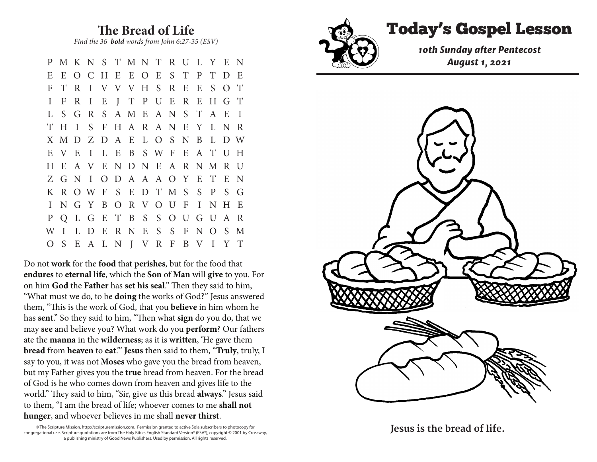**The Bread of Life**

*Find the 36 bold words from John 6:27-35 (ESV)* 

P M K N S T M N T R U L Y E N E E O C H E E O E S T P T D E F T R I V V V H S R E E S O T I F R I E J T P U E R E H G T L S G R S A M E A N S T A E I T H I S F H A R A N E Y L N R X M D Z D A E L O S N B L D W E V E I L E B S W F E A T U H H E A V E N D N E A R N M R U Z G N I O D A A A O Y E T E N K R O W F S E D T M S S P S G I N G Y B O R V O U F I N H E P Q L G E T B S S O U G U A R W I L D E R N E S S F N O S M O S E A L N J V R F B V I Y T

Do not **work** for the **food** that **perishes**, but for the food that **endures** to **eternal life**, which the **Son** of **Man** will **give** to you. For on him **God** the **Father** has **set his seal**." Then they said to him, "What must we do, to be **doing** the works of God?" Jesus answered them, "This is the work of God, that you **believe** in him whom he has **sent**." So they said to him, "Then what **sign** do you do, that we may **see** and believe you? What work do you **perform**? Our fathers ate the **manna** in the **wilderness**; as it is **written**, 'He gave them **bread** from **heaven** to **eat**.'" **Jesus** then said to them, "**Truly**, truly, I say to you, it was not **Moses** who gave you the bread from heaven, but my Father gives you the **true** bread from heaven. For the bread of God is he who comes down from heaven and gives life to the world." They said to him, "Sir, give us this bread **always**." Jesus said to them, "I am the bread of life; whoever comes to me **shall not hunger**, and whoever believes in me shall **never thirst**.

© The Scripture Mission, http://scripturemission.com. Permission granted to active Sola subscribers to photocopy for congregational use. Scripture quotations are from The Holy Bible, English Standard Version® (ESV®), copyright © 2001 by Crossway, a publishing ministry of Good News Publishers. Used by permission. All rights reserved.



## Today's Gospel Lesson

*10th Sunday after Pentecost August 1, 2021 Find the 36 bold words from John 6:27-35 (ESV)* 



E E O C H E E O E S T P T D E

Jesus is the bread of life.